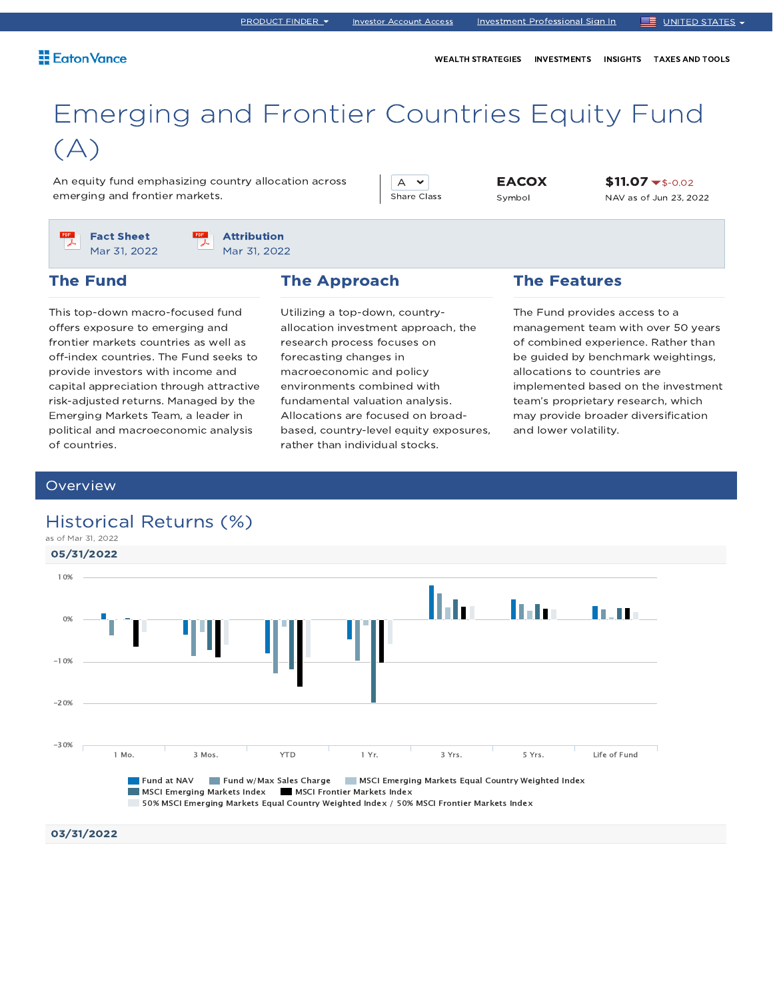WEALTH STRATEGIES INVESTMENTS INSIGHTS TAXES AND TOOLS

# Emerging and Frontier Countries Equity Fund  $(A)$

An equity fund emphasizing country allocation across emerging and frontier markets.

A  $\sim$ Share Class

EACOX Symbol

\$11.07 \$-0.02 NAV as of Jun 23, 2022

Fact Sheet Mar 31, 2022 Attribution Mar 31, 2022

### The Fund

This top-down macro-focused fund offers exposure to emerging and frontier markets countries as well as off-index countries. The Fund seeks to provide investors with income and capital appreciation through attractive risk-adjusted returns. Managed by the Emerging Markets Team, a leader in political and macroeconomic analysis of countries.

### The Approach

Utilizing a top-down, countryallocation investment approach, the research process focuses on forecasting changes in macroeconomic and policy environments combined with fundamental valuation analysis. Allocations are focused on broadbased, country-level equity exposures, rather than individual stocks.

### The Features

The Fund provides access to a management team with over 50 years of combined experience. Rather than be guided by benchmark weightings, allocations to countries are implemented based on the investment team's proprietary research, which may provide broader diversification and lower volatility.

### **Overview**



## Historical Returns (%)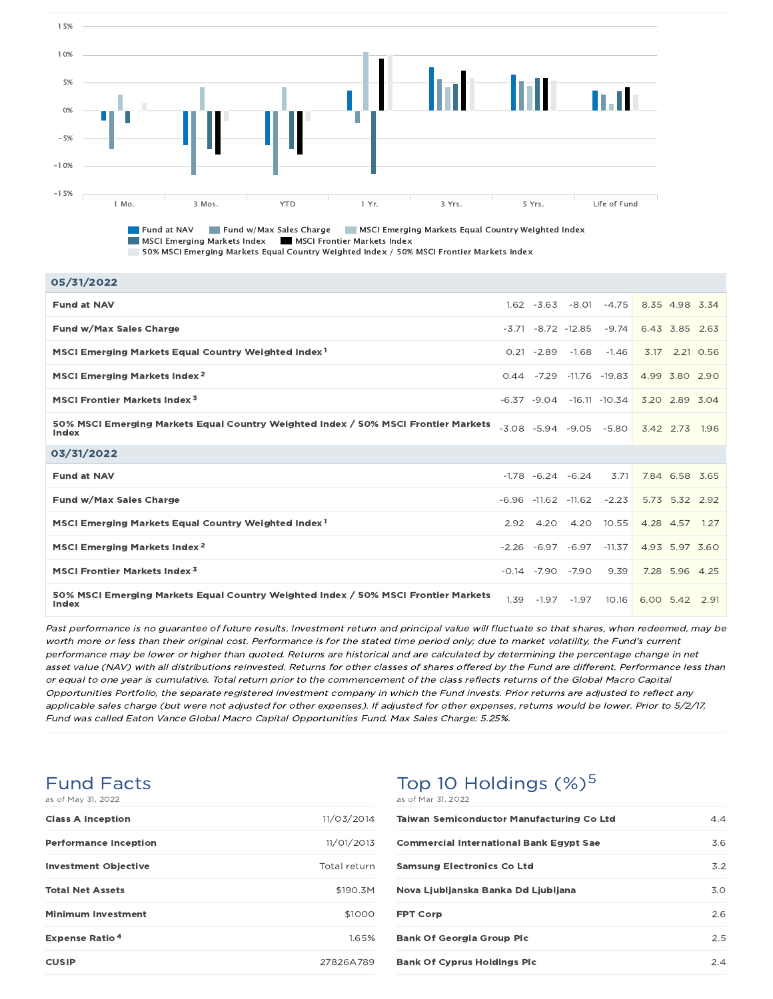

**Fund at NAV Fund w/Max Sales Charge MSCI Emerging Markets Equal Country Weighted Index** MSCI Emerging Markets Index MSCI Frontier Markets Index 50% MSCI Emerging Markets Equal Country Weighted Index / 50% MSCI Frontier Markets Index

| 05/31/2022                                                                                  |      |               |                           |                                  |      |                |           |
|---------------------------------------------------------------------------------------------|------|---------------|---------------------------|----------------------------------|------|----------------|-----------|
| <b>Fund at NAV</b>                                                                          |      |               | $1.62 - 3.63 - 8.01$      | $-4.75$                          |      | 8.35 4.98 3.34 |           |
| Fund w/Max Sales Charge                                                                     |      |               | -3.71 -8.72 -12.85        | $-9.74$                          |      | 6.43 3.85 2.63 |           |
| MSCI Emerging Markets Equal Country Weighted Index <sup>1</sup>                             |      | $0.21 - 2.89$ | $-1.68$                   | $-1.46$                          | 3.17 |                | 2.21 0.56 |
| MSCI Emerging Markets Index <sup>2</sup>                                                    |      |               |                           | $0.44$ $-7.29$ $-11.76$ $-19.83$ |      | 4.99 3.80 2.90 |           |
| <b>MSCI Frontier Markets Index<sup>3</sup></b>                                              |      |               |                           | $-6.37 - 9.04 - 16.11 - 10.34$   |      | 3.20 2.89 3.04 |           |
| 50% MSCI Emerging Markets Equal Country Weighted Index / 50% MSCI Frontier Markets<br>Index |      |               |                           | $-3.08$ $-5.94$ $-9.05$ $-5.80$  |      | 3.42 2.73 1.96 |           |
| 03/31/2022                                                                                  |      |               |                           |                                  |      |                |           |
| <b>Fund at NAV</b>                                                                          |      |               | $-1.78 -6.24 -6.24$       | 3.71                             |      | 7.84 6.58 3.65 |           |
| Fund w/Max Sales Charge                                                                     |      |               | $-6.96$ $-11.62$ $-11.62$ | $-2.23$                          |      | 5.73 5.32 2.92 |           |
| MSCI Emerging Markets Equal Country Weighted Index <sup>1</sup>                             | 2.92 | 4.20          | 4.20                      | 10.55                            |      | 4.28 4.57 1.27 |           |
| MSCI Emerging Markets Index <sup>2</sup>                                                    |      |               | $-2.26 -6.97 -6.97$       | $-11.37$                         |      | 4.93 5.97 3.60 |           |
| MSCI Frontier Markets Index <sup>3</sup>                                                    |      |               | $-0.14$ $-7.90$ $-7.90$   | 9.39                             |      | 7.28 5.96 4.25 |           |
|                                                                                             |      |               |                           |                                  |      |                |           |

Past performance is no guarantee of future results. Investment return and principal value will fluctuate so that shares, when redeemed, may be worth more or less than their original cost. Performance is for the stated time period only; due to market volatility, the Fund's current performance may be lower or higher than quoted. Returns are historical and are calculated by determining the percentage change in net asset value (NAV) with all distributions reinvested. Returns for other classes of shares offered by the Fund are different. Performance less than or equal to one year is cumulative. Total return prior to the commencement of the class reflects returns of the Global Macro Capital Opportunities Portfolio, the separate registered investment company in which the Fund invests. Prior returns are adjusted to reflect any applicable sales charge (but were not adjusted for other expenses). If adjusted for other expenses, returns would be lower. Prior to 5/2/17, Fund was called Eaton Vance Global Macro Capital Opportunities Fund. Max Sales Charge: 5.25%.

#### Fund Facts as of May 31, 2022

| as OI May 31, ZUZZ               |              |
|----------------------------------|--------------|
| <b>Class A Inception</b>         | 11/03/2014   |
| <b>Performance Inception</b>     | 11/01/2013   |
| <b>Investment Objective</b>      | Total return |
| <b>Total Net Assets</b>          | \$190.3M     |
| <b>Minimum Investment</b>        | \$1000       |
| <b>Expense Ratio<sup>4</sup></b> | 1.65%        |
| <b>CUSIP</b>                     | 27826A789    |

### Top 10 Holdings  $(\%)^5$ as of Mar 31, 2022

| $0.9 \times 1.191 \times 1.2022$                 |     |
|--------------------------------------------------|-----|
| <b>Taiwan Semiconductor Manufacturing Co Ltd</b> | 4.4 |
| <b>Commercial International Bank Egypt Sae</b>   | 3.6 |
| <b>Samsung Electronics Co Ltd</b>                | 3.2 |
| Nova Ljubljanska Banka Dd Ljubljana              | 3.0 |
| <b>FPT Corp</b>                                  | 2.6 |
| <b>Bank Of Georgia Group Plc</b>                 | 2.5 |
| <b>Bank Of Cyprus Holdings Plc</b>               | 24  |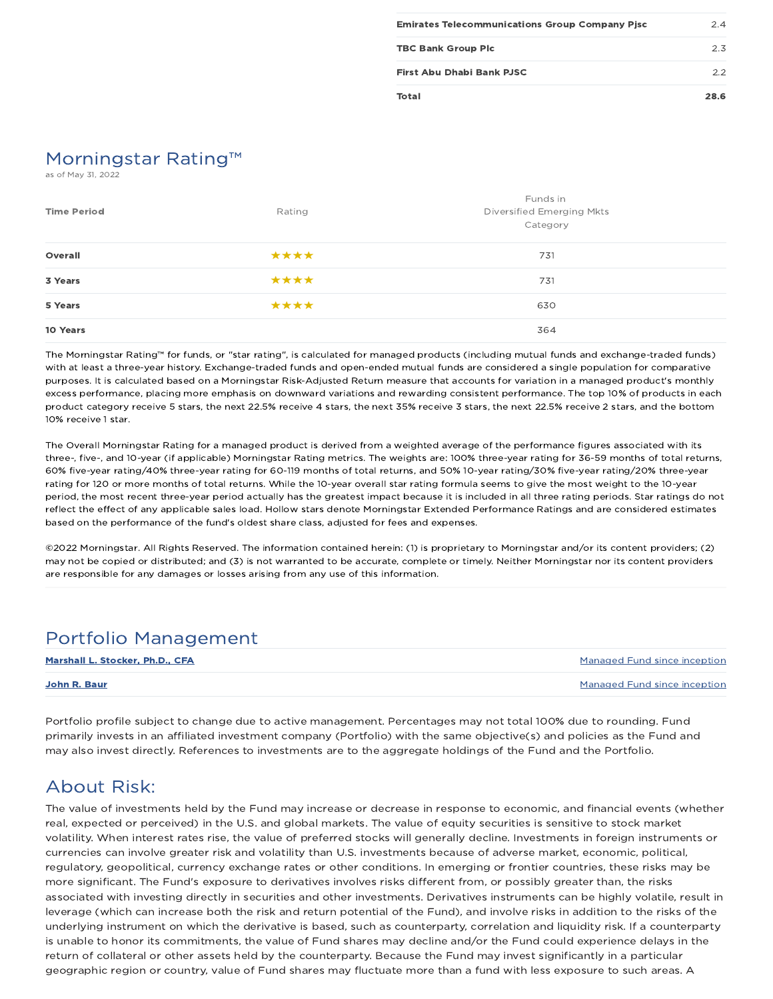| <b>Emirates Telecommunications Group Company Pisc</b> | 24   |
|-------------------------------------------------------|------|
| <b>TBC Bank Group Plc</b>                             | 2.3  |
| First Abu Dhabi Bank PJSC                             | フフ   |
| Total                                                 | 28.6 |

# Morningstar Rating™

as of May 31, 2022

| <b>Time Period</b> | Rating | Funds in<br>Diversified Emerging Mkts<br>Category |
|--------------------|--------|---------------------------------------------------|
| Overall            | ****   | 731                                               |
| 3 Years            | ****   | 731                                               |
| 5 Years            | ****   | 630                                               |
| 10 Years           |        | 364                                               |

The Morningstar Rating™ for funds, or "star rating", is calculated for managed products (including mutual funds and exchange-traded funds) with at least a three-year history. Exchange-traded funds and open-ended mutual funds are considered a single population for comparative purposes. It is calculated based on a Morningstar Risk-Adjusted Return measure that accounts for variation in a managed product's monthly excess performance, placing more emphasis on downward variations and rewarding consistent performance. The top 10% of products in each product category receive 5 stars, the next 22.5% receive 4 stars, the next 35% receive 3 stars, the next 22.5% receive 2 stars, and the bottom 10% receive 1 star.

The Overall Morningstar Rating for a managed product is derived from a weighted average of the performance figures associated with its three-, five-, and 10-year (if applicable) Morningstar Rating metrics. The weights are: 100% three-year rating for 36-59 months of total returns, 60% five-year rating/40% three-year rating for 60-119 months of total returns, and 50% 10-year rating/30% five-year rating/20% three-year rating for 120 or more months of total returns. While the 10-year overall star rating formula seems to give the most weight to the 10-year period, the most recent three-year period actually has the greatest impact because it is included in all three rating periods. Star ratings do not reflect the effect of any applicable sales load. Hollow stars denote Morningstar Extended Performance Ratings and are considered estimates based on the performance of the fund's oldest share class, adjusted for fees and expenses.

©2022 Morningstar. All Rights Reserved. The information contained herein: (1) is proprietary to Morningstar and/or its content providers; (2) may not be copied or distributed; and (3) is not warranted to be accurate, complete or timely. Neither Morningstar nor its content providers are responsible for any damages or losses arising from any use of this information.

## Portfolio Management

| Marshall L. Stocker, Ph.D., CFA | Managed Fund since inception |
|---------------------------------|------------------------------|
| John R. Baur                    | Managed Fund since inception |

Portfolio profile subject to change due to active management. Percentages may not total 100% due to rounding. Fund primarily invests in an affiliated investment company (Portfolio) with the same objective(s) and policies as the Fund and may also invest directly. References to investments are to the aggregate holdings of the Fund and the Portfolio.

## About Risk:

The value of investments held by the Fund may increase or decrease in response to economic, and financial events (whether real, expected or perceived) in the U.S. and global markets. The value of equity securities is sensitive to stock market volatility. When interest rates rise, the value of preferred stocks will generally decline. Investments in foreign instruments or currencies can involve greater risk and volatility than U.S. investments because of adverse market, economic, political, regulatory, geopolitical, currency exchange rates or other conditions. In emerging or frontier countries, these risks may be more significant. The Fund's exposure to derivatives involves risks different from, or possibly greater than, the risks associated with investing directly in securities and other investments. Derivatives instruments can be highly volatile, result in leverage (which can increase both the risk and return potential of the Fund), and involve risks in addition to the risks of the underlying instrument on which the derivative is based, such as counterparty, correlation and liquidity risk. If a counterparty is unable to honor its commitments, the value of Fund shares may decline and/or the Fund could experience delays in the return of collateral or other assets held by the counterparty. Because the Fund may invest significantly in a particular geographic region or country, value of Fund shares may fluctuate more than a fund with less exposure to such areas. A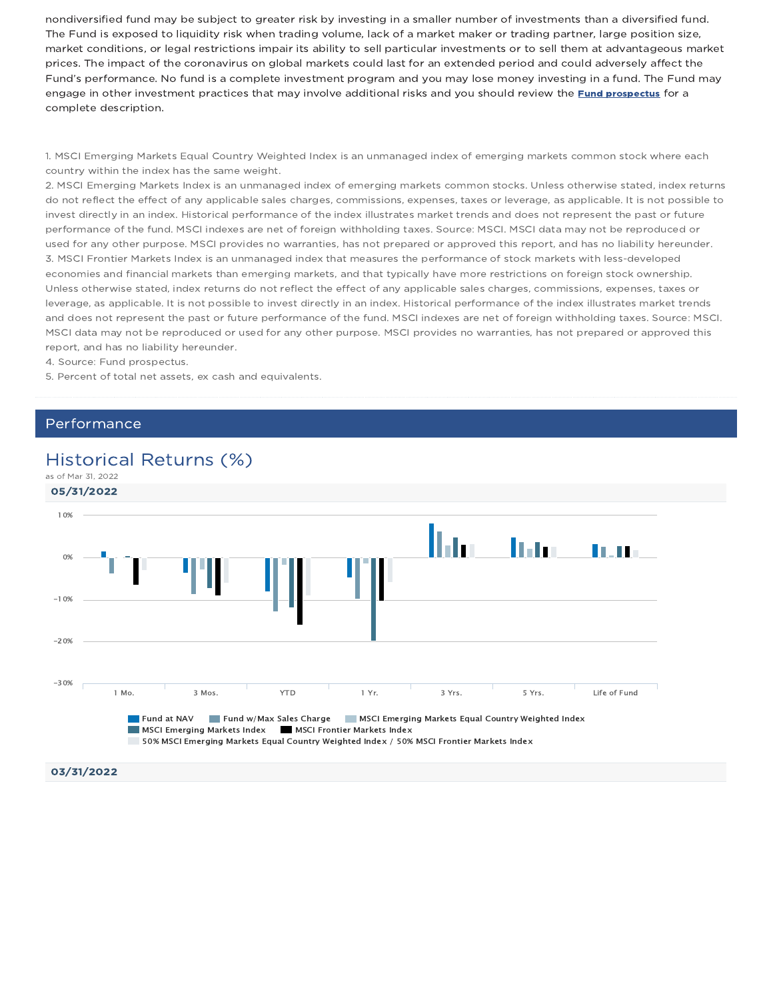nondiversified fund may be subject to greater risk by investing in a smaller number of investments than a diversified fund. The Fund is exposed to liquidity risk when trading volume, lack of a market maker or trading partner, large position size, market conditions, or legal restrictions impair its ability to sell particular investments or to sell them at advantageous market prices. The impact of the coronavirus on global markets could last for an extended period and could adversely affect the Fund's performance. No fund is a complete investment program and you may lose money investing in a fund. The Fund may engage in other investment practices that may involve additional risks and you should review the Fund prospectus for a complete description.

1. MSCI Emerging Markets Equal Country Weighted Index is an unmanaged index of emerging markets common stock where each country within the index has the same weight.

2. MSCI Emerging Markets Index is an unmanaged index of emerging markets common stocks. Unless otherwise stated, index returns do not reflect the effect of any applicable sales charges, commissions, expenses, taxes or leverage, as applicable. It is not possible to invest directly in an index. Historical performance of the index illustrates market trends and does not represent the past or future performance of the fund. MSCI indexes are net of foreign withholding taxes. Source: MSCI. MSCI data may not be reproduced or used for any other purpose. MSCI provides no warranties, has not prepared or approved this report, and has no liability hereunder. 3. MSCI Frontier Markets Index is an unmanaged index that measures the performance of stock markets with less-developed economies and financial markets than emerging markets, and that typically have more restrictions on foreign stock ownership. Unless otherwise stated, index returns do not reflect the effect of any applicable sales charges, commissions, expenses, taxes or leverage, as applicable. It is not possible to invest directly in an index. Historical performance of the index illustrates market trends and does not represent the past or future performance of the fund. MSCI indexes are net of foreign withholding taxes. Source: MSCI. MSCI data may not be reproduced or used for any other purpose. MSCI provides no warranties, has not prepared or approved this report, and has no liability hereunder.

4. Source: Fund prospectus.

5. Percent of total net assets, ex cash and equivalents.

### Performance

### Historical Returns (%)



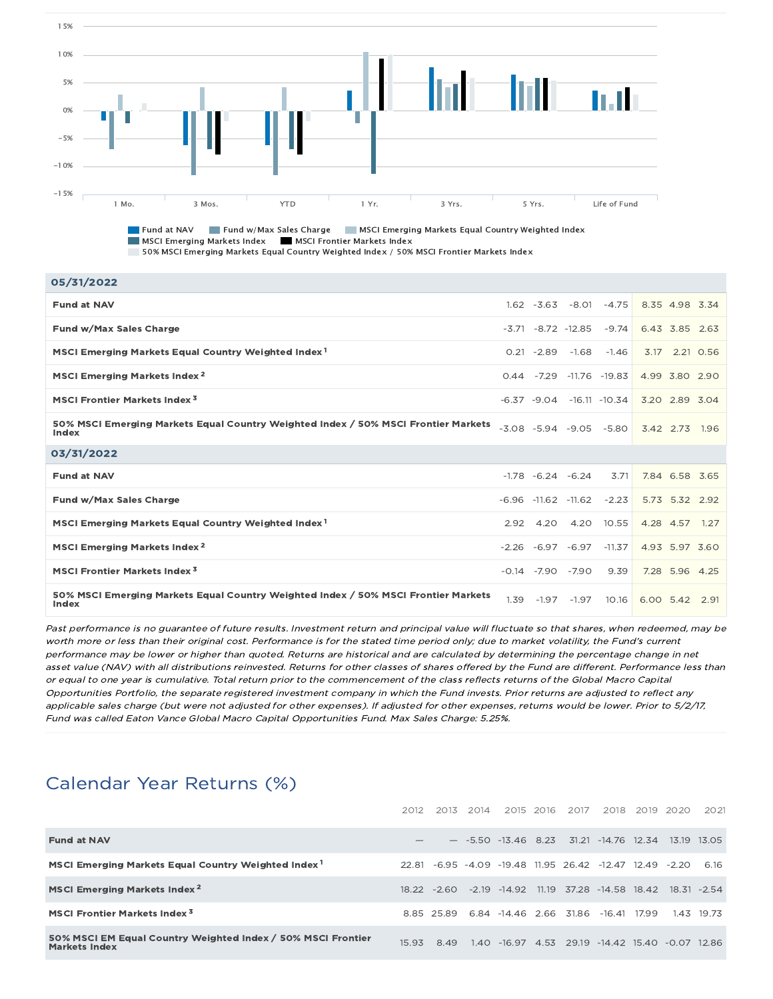

**Fund at NAV Fund w/Max Sales Charge MSCI Emerging Markets Equal Country Weighted Index** MSCI Emerging Markets Index MSCI Frontier Markets Index 50% MSCI Emerging Markets Equal Country Weighted Index / 50% MSCI Frontier Markets Index

| 05/31/2022                                                                                  |      |                         |                                  |                                |                |                |  |
|---------------------------------------------------------------------------------------------|------|-------------------------|----------------------------------|--------------------------------|----------------|----------------|--|
| <b>Fund at NAV</b>                                                                          |      |                         | $1.62 - 3.63 - 8.01$             | $-4.75$                        | 8.35 4.98 3.34 |                |  |
| Fund w/Max Sales Charge                                                                     |      |                         | $-3.71 - 8.72 - 12.85$           | $-9.74$                        | 6.43 3.85 2.63 |                |  |
| MSCI Emerging Markets Equal Country Weighted Index <sup>1</sup>                             |      | $0.21 - 2.89$           | $-1.68$                          | $-1.46$                        |                | 3.17 2.21 0.56 |  |
| MSCI Emerging Markets Index <sup>2</sup>                                                    |      |                         | $0.44$ $-7.29$ $-11.76$ $-19.83$ |                                | 4.99 3.80 2.90 |                |  |
| <b>MSCI Frontier Markets Index<sup>3</sup></b>                                              |      |                         |                                  | $-6.37 - 9.04 - 16.11 - 10.34$ | 3.20 2.89 3.04 |                |  |
| 50% MSCI Emerging Markets Equal Country Weighted Index / 50% MSCI Frontier Markets<br>Index |      |                         | $-3.08$ $-5.94$ $-9.05$ $-5.80$  |                                | 3.42 2.73 1.96 |                |  |
|                                                                                             |      |                         |                                  |                                |                |                |  |
| 03/31/2022                                                                                  |      |                         |                                  |                                |                |                |  |
| <b>Fund at NAV</b>                                                                          |      | $-1.78$ $-6.24$ $-6.24$ |                                  | 3.71                           | 7.84 6.58 3.65 |                |  |
| Fund w/Max Sales Charge                                                                     |      |                         | $-6.96$ $-11.62$ $-11.62$        | $-2.23$                        | 5.73 5.32 2.92 |                |  |
| MSCI Emerging Markets Equal Country Weighted Index <sup>1</sup>                             | 2.92 | 4.20                    |                                  | 4.20 10.55                     | 4.28 4.57 1.27 |                |  |
| MSCI Emerging Markets Index <sup>2</sup>                                                    |      |                         | $-2.26 -6.97 -6.97$              | $-11.37$                       | 4.93 5.97 3.60 |                |  |
| <b>MSCI Frontier Markets Index<sup>3</sup></b>                                              |      |                         | $-0.14$ $-7.90$ $-7.90$          | 9.39                           |                | 7.28 5.96 4.25 |  |

Past performance is no guarantee of future results. Investment return and principal value will fluctuate so that shares, when redeemed, may be worth more or less than their original cost. Performance is for the stated time period only; due to market volatility, the Fund's current performance may be lower or higher than quoted. Returns are historical and are calculated by determining the percentage change in net asset value (NAV) with all distributions reinvested. Returns for other classes of shares offered by the Fund are different. Performance less than or equal to one year is cumulative. Total return prior to the commencement of the class reflects returns of the Global Macro Capital Opportunities Portfolio, the separate registered investment company in which the Fund invests. Prior returns are adjusted to reflect any applicable sales charge (but were not adjusted for other expenses). If adjusted for other expenses, returns would be lower. Prior to 5/2/17, Fund was called Eaton Vance Global Macro Capital Opportunities Fund. Max Sales Charge: 5.25%.

## Calendar Year Returns (%)

|                                                                                      | 2012  |      | 2013 2014 | 2015 2016                                | 2017 | 2018                                                 | 2019  | -2020 | 2021       |
|--------------------------------------------------------------------------------------|-------|------|-----------|------------------------------------------|------|------------------------------------------------------|-------|-------|------------|
| <b>Fund at NAV</b>                                                                   |       |      |           |                                          |      | $-$ -5.50 -13.46 8.23 31.21 -14.76 12.34 13.19 13.05 |       |       |            |
| MSCI Emerging Markets Equal Country Weighted Index <sup>1</sup>                      | 22.81 |      |           |                                          |      | -6.95 -4.09 -19.48 11.95 26.42 -12.47 12.49 -2.20    |       |       | 616        |
| <b>MSCI Emerging Markets Index<sup>2</sup></b>                                       |       |      |           | $18.22 - 2.60 - 2.19 - 14.92$            |      | 11.19 37.28 -14.58 18.42 18.31 -2.54                 |       |       |            |
| <b>MSCI Frontier Markets Index<sup>3</sup></b>                                       |       |      |           | 8.85 25.89 6.84 -14.46 2.66 31.86 -16.41 |      |                                                      | 17.99 |       | 1.43 19.73 |
| 50% MSCI EM Equal Country Weighted Index / 50% MSCI Frontier<br><b>Markets Index</b> | 15.93 | 8.49 |           |                                          |      | 1.40 -16.97 4.53 29.19 -14.42 15.40 -0.07            |       |       | 12.86      |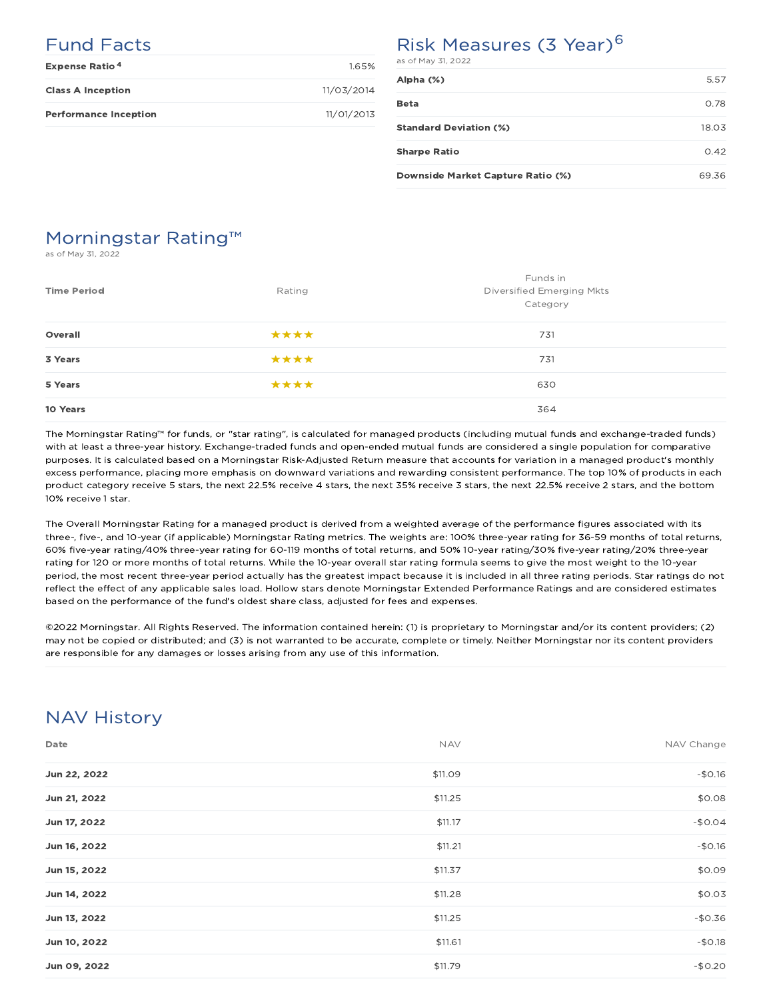## Fund Facts

| <b>Expense Ratio<sup>4</sup></b> | 1.65%      |
|----------------------------------|------------|
| <b>Class A Inception</b>         | 11/03/2014 |
| <b>Performance Inception</b>     | 11/01/2013 |

## Risk Measures (3 Year)<sup>6</sup>

| as of May 31, 2022                |       |
|-----------------------------------|-------|
| Alpha (%)                         | 5.57  |
| <b>Beta</b>                       | 0.78  |
| <b>Standard Deviation (%)</b>     | 18.03 |
| <b>Sharpe Ratio</b>               | 0.42  |
| Downside Market Capture Ratio (%) | 69.36 |

## Morningstar Rating™

as of May 31, 2022

| <b>Time Period</b> | Rating | Funds in<br>Diversified Emerging Mkts<br>Category |
|--------------------|--------|---------------------------------------------------|
| Overall            | ****   | 731                                               |
| 3 Years            | ****   | 731                                               |
| 5 Years            | ****   | 630                                               |
| 10 Years           |        | 364                                               |

The Morningstar Rating™ for funds, or "star rating", is calculated for managed products (including mutual funds and exchange-traded funds) with at least a three-year history. Exchange-traded funds and open-ended mutual funds are considered a single population for comparative purposes. It is calculated based on a Morningstar Risk-Adjusted Return measure that accounts for variation in a managed product's monthly excess performance, placing more emphasis on downward variations and rewarding consistent performance. The top 10% of products in each product category receive 5 stars, the next 22.5% receive 4 stars, the next 35% receive 3 stars, the next 22.5% receive 2 stars, and the bottom 10% receive 1 star.

The Overall Morningstar Rating for a managed product is derived from a weighted average of the performance figures associated with its three-, five-, and 10-year (if applicable) Morningstar Rating metrics. The weights are: 100% three-year rating for 36-59 months of total returns, 60% five-year rating/40% three-year rating for 60-119 months of total returns, and 50% 10-year rating/30% five-year rating/20% three-year rating for 120 or more months of total returns. While the 10-year overall star rating formula seems to give the most weight to the 10-year period, the most recent three-year period actually has the greatest impact because it is included in all three rating periods. Star ratings do not reflect the effect of any applicable sales load. Hollow stars denote Morningstar Extended Performance Ratings and are considered estimates based on the performance of the fund's oldest share class, adjusted for fees and expenses.

©2022 Morningstar. All Rights Reserved. The information contained herein: (1) is proprietary to Morningstar and/or its content providers; (2) may not be copied or distributed; and (3) is not warranted to be accurate, complete or timely. Neither Morningstar nor its content providers are responsible for any damages or losses arising from any use of this information.

## NAV History

| Date         | <b>NAV</b> | NAV Change |
|--------------|------------|------------|
| Jun 22, 2022 | \$11.09    | $-$0.16$   |
| Jun 21, 2022 | \$11.25    | \$0.08     |
| Jun 17, 2022 | \$11.17    | $-$0.04$   |
| Jun 16, 2022 | \$11.21    | $-$0.16$   |
| Jun 15, 2022 | \$11.37    | \$0.09     |
| Jun 14, 2022 | \$11.28    | \$0.03     |
| Jun 13, 2022 | \$11.25    | $-$0.36$   |
| Jun 10, 2022 | \$11.61    | $-$0.18$   |
| Jun 09, 2022 | \$11.79    | $-$0.20$   |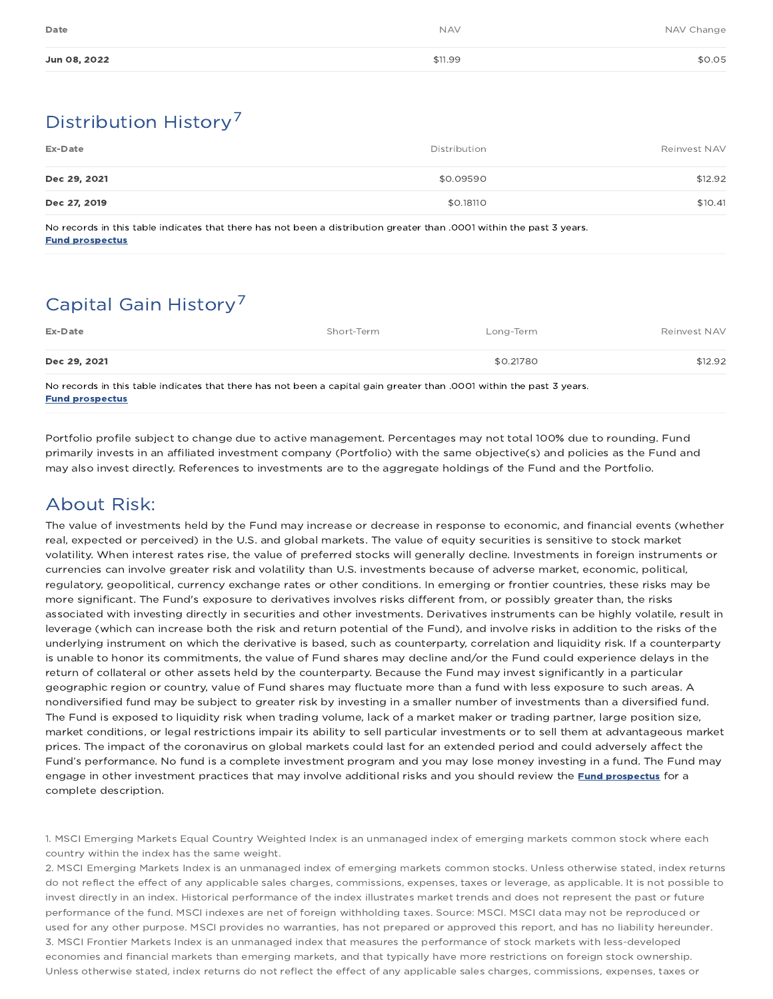| Date         | <b>NAV</b> | NAV Change |
|--------------|------------|------------|
| Jun 08, 2022 | \$11.99    | \$0.05     |

# Distribution History 7

| Ex-Date      | Distribution | Reinvest NAV |
|--------------|--------------|--------------|
| Dec 29, 2021 | \$0.09590    | \$12.92      |
| Dec 27, 2019 | \$0.18110    | \$10.41      |

No records in this table indicates that there has not been a distribution greater than .0001 within the past 3 years. Fund prospectus

# Capital Gain History<sup>7</sup>

| Ex-Date                                                                                                            | Short-Term | Long-Term | Reinvest NAV |
|--------------------------------------------------------------------------------------------------------------------|------------|-----------|--------------|
| Dec 29, 2021                                                                                                       |            | \$0.21780 | \$12.92      |
| No recorde in this table indicates that there has not been a capital gain greater than 0001 within the past Zwazrs |            |           |              |

No records in this table indicates that there has not been a capital gain greater than .0001 within the past 3 years. Fund prospectus

Portfolio profile subject to change due to active management. Percentages may not total 100% due to rounding. Fund primarily invests in an affiliated investment company (Portfolio) with the same objective(s) and policies as the Fund and may also invest directly. References to investments are to the aggregate holdings of the Fund and the Portfolio.

## About Risk:

The value of investments held by the Fund may increase or decrease in response to economic, and financial events (whether real, expected or perceived) in the U.S. and global markets. The value of equity securities is sensitive to stock market volatility. When interest rates rise, the value of preferred stocks will generally decline. Investments in foreign instruments or currencies can involve greater risk and volatility than U.S. investments because of adverse market, economic, political, regulatory, geopolitical, currency exchange rates or other conditions. In emerging or frontier countries, these risks may be more significant. The Fund's exposure to derivatives involves risks different from, or possibly greater than, the risks associated with investing directly in securities and other investments. Derivatives instruments can be highly volatile, result in leverage (which can increase both the risk and return potential of the Fund), and involve risks in addition to the risks of the underlying instrument on which the derivative is based, such as counterparty, correlation and liquidity risk. If a counterparty is unable to honor its commitments, the value of Fund shares may decline and/or the Fund could experience delays in the return of collateral or other assets held by the counterparty. Because the Fund may invest significantly in a particular geographic region or country, value of Fund shares may fluctuate more than a fund with less exposure to such areas. A nondiversified fund may be subject to greater risk by investing in a smaller number of investments than a diversified fund. The Fund is exposed to liquidity risk when trading volume, lack of a market maker or trading partner, large position size, market conditions, or legal restrictions impair its ability to sell particular investments or to sell them at advantageous market prices. The impact of the coronavirus on global markets could last for an extended period and could adversely affect the Fund's performance. No fund is a complete investment program and you may lose money investing in a fund. The Fund may engage in other investment practices that may involve additional risks and you should review the Fund prospectus for a complete description.

1. MSCI Emerging Markets Equal Country Weighted Index is an unmanaged index of emerging markets common stock where each country within the index has the same weight.

2. MSCI Emerging Markets Index is an unmanaged index of emerging markets common stocks. Unless otherwise stated, index returns do not reflect the effect of any applicable sales charges, commissions, expenses, taxes or leverage, as applicable. It is not possible to invest directly in an index. Historical performance of the index illustrates market trends and does not represent the past or future performance of the fund. MSCI indexes are net of foreign withholding taxes. Source: MSCI. MSCI data may not be reproduced or used for any other purpose. MSCI provides no warranties, has not prepared or approved this report, and has no liability hereunder. 3. MSCI Frontier Markets Index is an unmanaged index that measures the performance of stock markets with less-developed economies and financial markets than emerging markets, and that typically have more restrictions on foreign stock ownership. Unless otherwise stated, index returns do not reflect the effect of any applicable sales charges, commissions, expenses, taxes or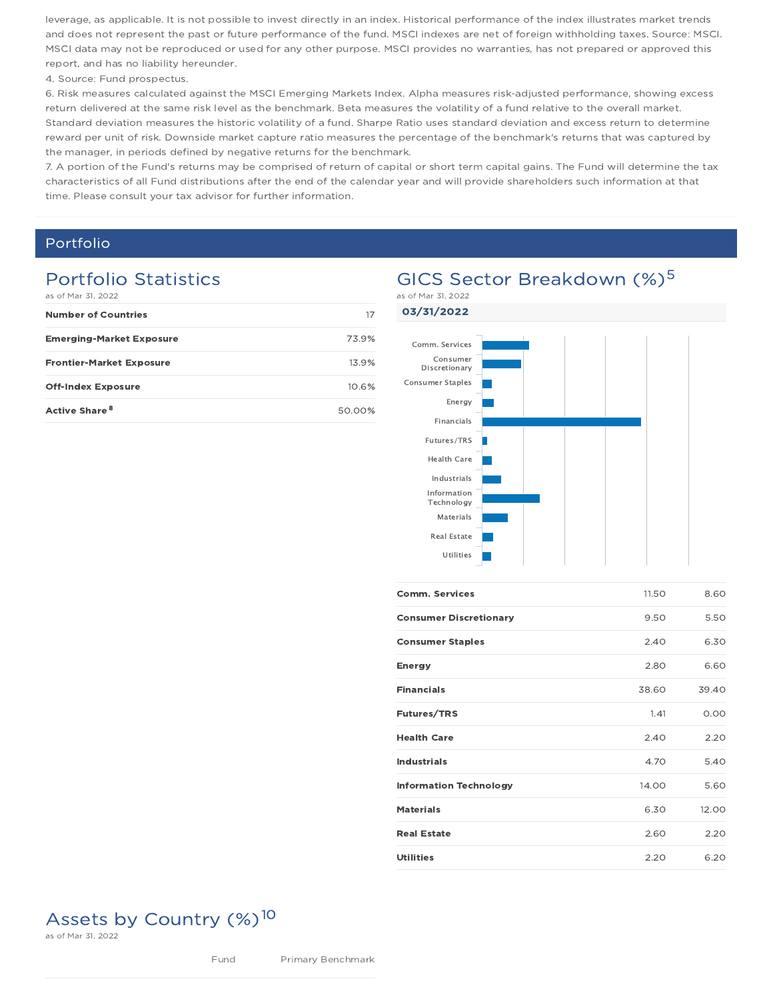leverage, as applicable. It is not possible to invest directly in an index. Historical performance of the index illustrates market trends and does not represent the past or future performance of the fund. MSCI indexes are net of foreign withholding taxes. Source: MSCI. MSCI data may not be reproduced or used for any other purpose. MSCI provides no warranties, has not prepared or approved this report, and has no liability hereunder.

4. Source: Fund prospectus.

6. Risk measures calculated against the MSCI Emerging Markets Index. Alpha measures risk-adjusted performance, showing excess return delivered at the same risk level as the benchmark. Beta measures the volatility of a fund relative to the overall market. Standard deviation measures the historic volatility of a fund. Sharpe Ratio uses standard deviation and excess return to determine reward per unit of risk. Downside market capture ratio measures the percentage of the benchmark's returns that was captured by the manager, in periods defined by negative returns for the benchmark.

7. A portion of the Fund's returns may be comprised of return of capital or short term capital gains. The Fund will determine the tax characteristics of all Fund distributions after the end of the calendar year and will provide shareholders such information at that time. Please consult your tax advisor for further information.

### Portfolio

## Portfolio Statistics

| as of Mar 31, 2022              |        |  |
|---------------------------------|--------|--|
| <b>Number of Countries</b>      | 17     |  |
| <b>Emerging-Market Exposure</b> | 73.9%  |  |
| <b>Frontier-Market Exposure</b> | 13.9%  |  |
| <b>Off-Index Exposure</b>       | 10.6%  |  |
| Active Share <sup>8</sup>       | 50.00% |  |



| <b>Comm. Services</b>         | 11.50 | 8.60  |
|-------------------------------|-------|-------|
| <b>Consumer Discretionary</b> | 9.50  | 5.50  |
| <b>Consumer Staples</b>       | 2.40  | 6.30  |
| <b>Energy</b>                 | 2.80  | 6.60  |
| <b>Financials</b>             | 38.60 | 39.40 |
| <b>Futures/TRS</b>            | 1.41  | 0.00  |
| <b>Health Care</b>            | 2.40  | 2.20  |
| <b>Industrials</b>            | 4.70  | 5.40  |
| <b>Information Technology</b> | 14.00 | 5.60  |
| <b>Materials</b>              | 6.30  | 12.00 |
| <b>Real Estate</b>            | 2.60  | 2.20  |
| <b>Utilities</b>              | 2.20  | 6.20  |

# Assets by Country (%)<sup>10</sup>

as of Mar 31, 2022

# GICS Sector Breakdown (%)<sup>5</sup>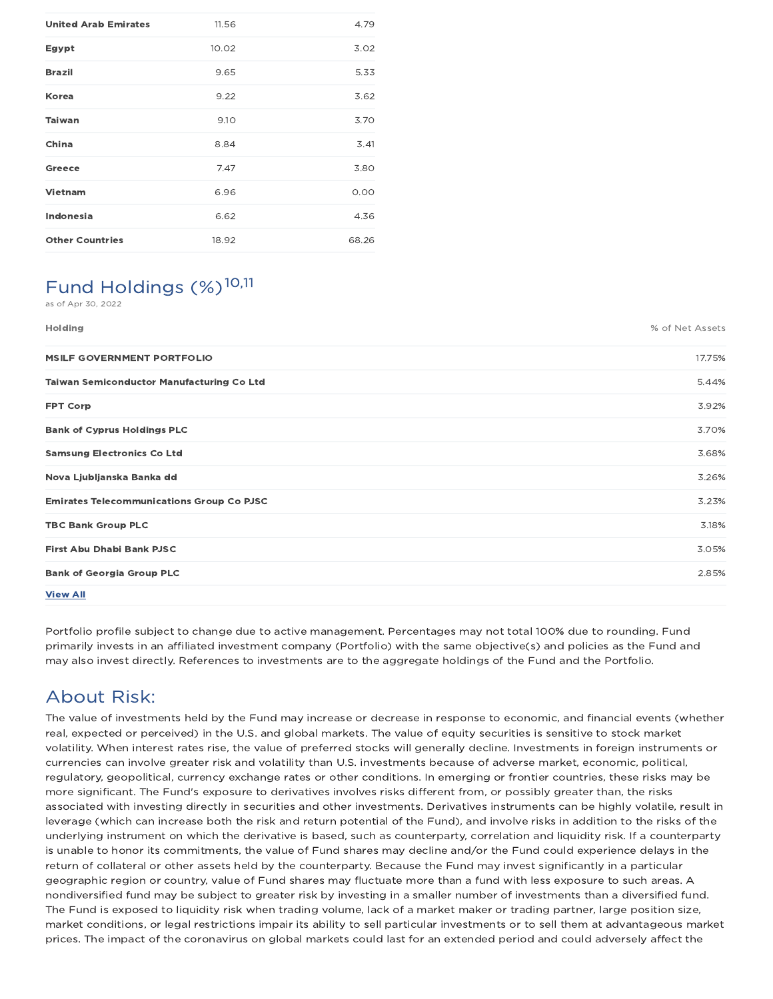| <b>United Arab Emirates</b> | 11.56 | 4.79  |
|-----------------------------|-------|-------|
| Egypt                       | 10.02 | 3.02  |
| <b>Brazil</b>               | 9.65  | 5.33  |
| Korea                       | 9.22  | 3.62  |
| <b>Taiwan</b>               | 9.10  | 3.70  |
| China                       | 8.84  | 3.41  |
| Greece                      | 7.47  | 3.80  |
| Vietnam                     | 6.96  | 0.00  |
| Indonesia                   | 6.62  | 4.36  |
| <b>Other Countries</b>      | 18.92 | 68.26 |

### Fund Holdings (%)<sup>10,11</sup> as of Apr 30, 2022

Holding % of Net Assets MSILF GOVERNMENT PORTFOLIO 17.75% Taiwan Semiconductor Manufacturing Co Ltd 5.44% FPT Corp $\,$  3.92%  $\,$ Bank of Cyprus Holdings PLC 3.70% Samsung Electronics Co Ltd 3.68% Nova Ljubljanska Banka dd 3.26% Emirates Telecommunications Group Co PJSC 3.23% TBC Bank Group PLC 3.18% First Abu Dhabi Bank PJSC 3.05% Bank of Georgia Group PLC 2.85% View All

Portfolio profile subject to change due to active management. Percentages may not total 100% due to rounding. Fund primarily invests in an affiliated investment company (Portfolio) with the same objective(s) and policies as the Fund and may also invest directly. References to investments are to the aggregate holdings of the Fund and the Portfolio.

## About Risk:

The value of investments held by the Fund may increase or decrease in response to economic, and financial events (whether real, expected or perceived) in the U.S. and global markets. The value of equity securities is sensitive to stock market volatility. When interest rates rise, the value of preferred stocks will generally decline. Investments in foreign instruments or currencies can involve greater risk and volatility than U.S. investments because of adverse market, economic, political, regulatory, geopolitical, currency exchange rates or other conditions. In emerging or frontier countries, these risks may be more significant. The Fund's exposure to derivatives involves risks different from, or possibly greater than, the risks associated with investing directly in securities and other investments. Derivatives instruments can be highly volatile, result in leverage (which can increase both the risk and return potential of the Fund), and involve risks in addition to the risks of the underlying instrument on which the derivative is based, such as counterparty, correlation and liquidity risk. If a counterparty is unable to honor its commitments, the value of Fund shares may decline and/or the Fund could experience delays in the return of collateral or other assets held by the counterparty. Because the Fund may invest significantly in a particular geographic region or country, value of Fund shares may fluctuate more than a fund with less exposure to such areas. A nondiversified fund may be subject to greater risk by investing in a smaller number of investments than a diversified fund. The Fund is exposed to liquidity risk when trading volume, lack of a market maker or trading partner, large position size, market conditions, or legal restrictions impair its ability to sell particular investments or to sell them at advantageous market prices. The impact of the coronavirus on global markets could last for an extended period and could adversely affect the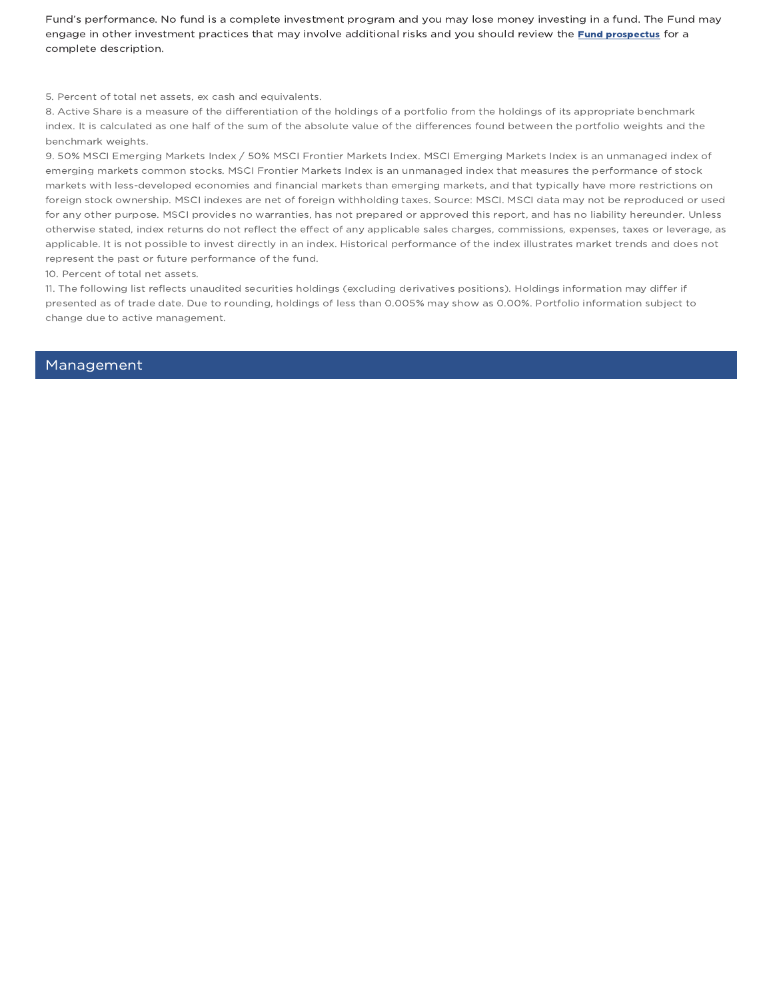Fund's performance. No fund is a complete investment program and you may lose money investing in a fund. The Fund may engage in other investment practices that may involve additional risks and you should review the *Fund prospectus* for a complete description.

5. Percent of total net assets, ex cash and equivalents.

8. Active Share is a measure of the differentiation of the holdings of a portfolio from the holdings of its appropriate benchmark index. It is calculated as one half of the sum of the absolute value of the differences found between the portfolio weights and the benchmark weights.

9. 50% MSCI Emerging Markets Index / 50% MSCI Frontier Markets Index. MSCI Emerging Markets Index is an unmanaged index of emerging markets common stocks. MSCI Frontier Markets Index is an unmanaged index that measures the performance of stock markets with less-developed economies and financial markets than emerging markets, and that typically have more restrictions on foreign stock ownership. MSCI indexes are net of foreign withholding taxes. Source: MSCI. MSCI data may not be reproduced or used for any other purpose. MSCI provides no warranties, has not prepared or approved this report, and has no liability hereunder. Unless otherwise stated, index returns do not reflect the effect of any applicable sales charges, commissions, expenses, taxes or leverage, as applicable. It is not possible to invest directly in an index. Historical performance of the index illustrates market trends and does not represent the past or future performance of the fund.

10. Percent of total net assets.

11. The following list reflects unaudited securities holdings (excluding derivatives positions). Holdings information may differ if presented as of trade date. Due to rounding, holdings of less than 0.005% may show as 0.00%. Portfolio information subject to change due to active management.

#### Management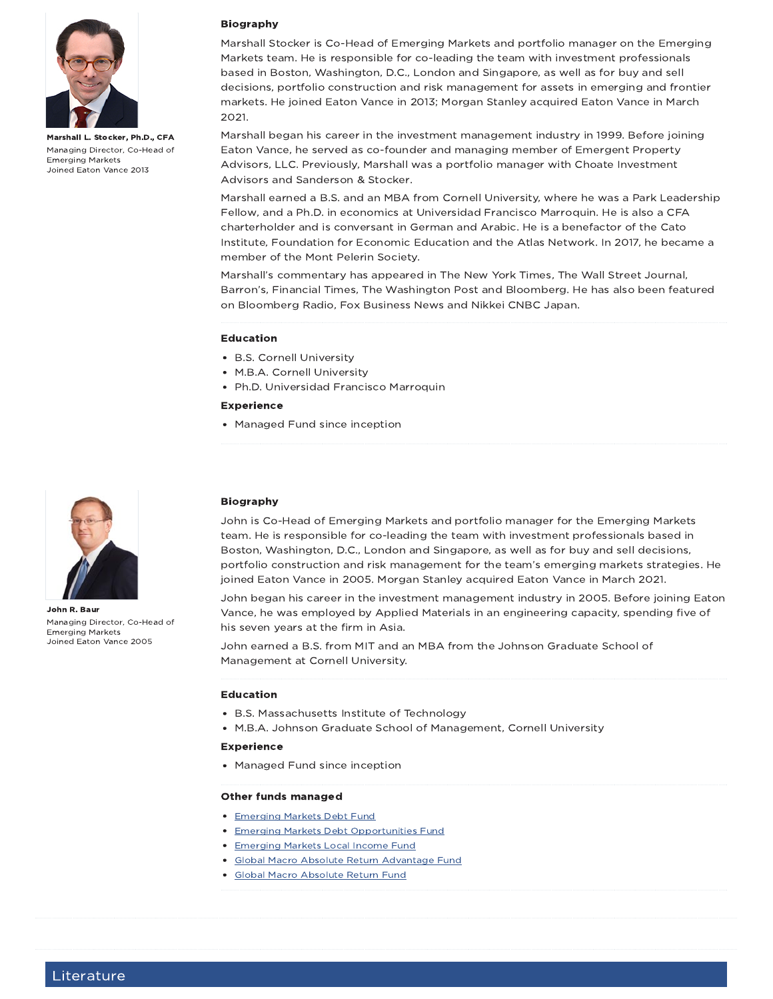

Marshall L. Stocker, Ph.D., CFA Managing Director, Co-Head of Emerging Markets Joined Eaton Vance 2013



John R. Baur Managing Director, Co-Head of Emerging Markets Joined Eaton Vance 2005

### Biography

Marshall Stocker is Co-Head of Emerging Markets and portfolio manager on the Emerging Markets team. He is responsible for co-leading the team with investment professionals based in Boston, Washington, D.C., London and Singapore, as well as for buy and sell decisions, portfolio construction and risk management for assets in emerging and frontier markets. He joined Eaton Vance in 2013; Morgan Stanley acquired Eaton Vance in March 2021.

Marshall began his career in the investment management industry in 1999. Before joining Eaton Vance, he served as co-founder and managing member of Emergent Property Advisors, LLC. Previously, Marshall was a portfolio manager with Choate Investment Advisors and Sanderson & Stocker.

Marshall earned a B.S. and an MBA from Cornell University, where he was a Park Leadership Fellow, and a Ph.D. in economics at Universidad Francisco Marroquin. He is also a CFA charterholder and is conversant in German and Arabic. He is a benefactor of the Cato Institute, Foundation for Economic Education and the Atlas Network. In 2017, he became a member of the Mont Pelerin Society.

Marshall's commentary has appeared in The New York Times, The Wall Street Journal, Barron's, Financial Times, The Washington Post and Bloomberg. He has also been featured on Bloomberg Radio, Fox Business News and Nikkei CNBC Japan.

#### Education

- B.S. Cornell University
- M.B.A. Cornell University
- Ph.D. Universidad Francisco Marroquin

#### Experience

Managed Fund since inception

### Biography

John is Co-Head of Emerging Markets and portfolio manager for the Emerging Markets team. He is responsible for co-leading the team with investment professionals based in Boston, Washington, D.C., London and Singapore, as well as for buy and sell decisions, portfolio construction and risk management for the team's emerging markets strategies. He joined Eaton Vance in 2005. Morgan Stanley acquired Eaton Vance in March 2021.

John began his career in the investment management industry in 2005. Before joining Eaton Vance, he was employed by Applied Materials in an engineering capacity, spending five of his seven years at the firm in Asia.

John earned a B.S. from MIT and an MBA from the Johnson Graduate School of Management at Cornell University.

#### Education

- B.S. Massachusetts Institute of Technology
- M.B.A. Johnson Graduate School of Management, Cornell University

#### Experience

• Managed Fund since inception

#### Other funds managed

- Emerging Markets Debt Fund
- **Emerging Markets Debt Opportunities Fund**
- **Emerging Markets Local Income Fund**
- Global Macro Absolute Return Advantage Fund
- Global Macro Absolute Return Fund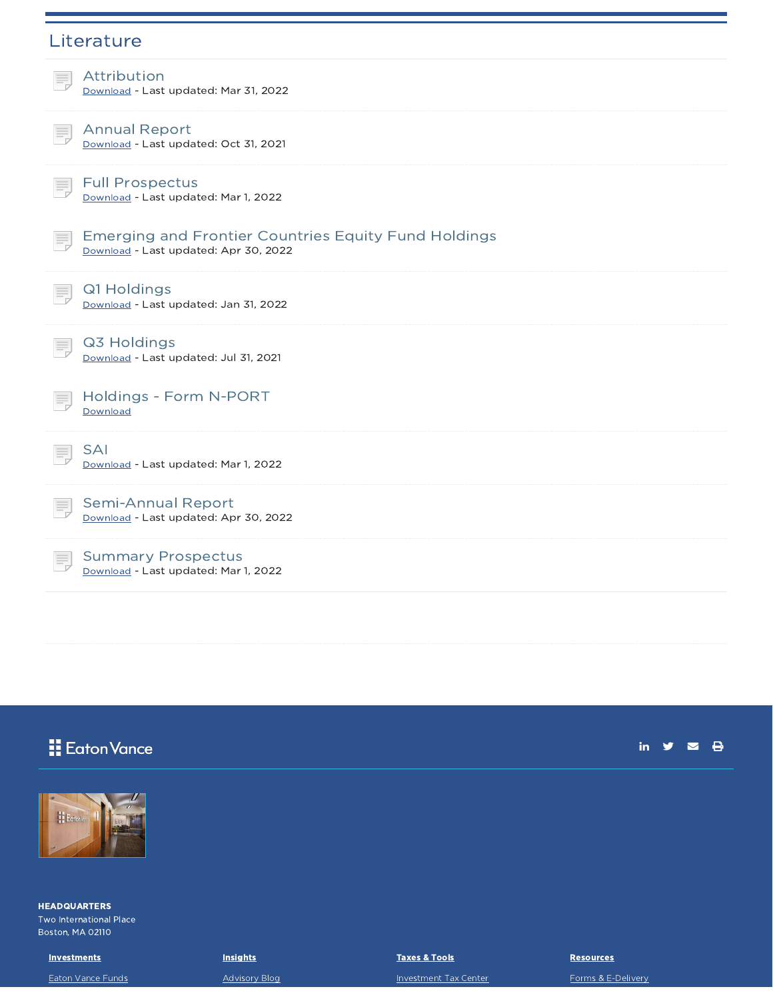| Literature                                                                                           |
|------------------------------------------------------------------------------------------------------|
| Attribution<br>ŧ,<br>Download - Last updated: Mar 31, 2022                                           |
| <b>Annual Report</b><br>Download - Last updated: Oct 31, 2021                                        |
| <b>Full Prospectus</b><br>Download - Last updated: Mar 1, 2022                                       |
| <b>Emerging and Frontier Countries Equity Fund Holdings</b><br>Download - Last updated: Apr 30, 2022 |
| Q1 Holdings<br>Download - Last updated: Jan 31, 2022                                                 |
| Q3 Holdings<br>Download - Last updated: Jul 31, 2021                                                 |
| Holdings - Form N-PORT<br>Download                                                                   |
| <b>SAI</b><br>Download - Last updated: Mar 1, 2022                                                   |
| <b>Semi-Annual Report</b><br>Download - Last updated: Apr 30, 2022                                   |
| <b>Summary Prospectus</b><br>Download - Last updated: Mar 1, 2022                                    |

# **H** Eaton Vance

in  $y = \theta$ 



**HEADQUARTERS** Two International Place Boston, MA 02110

**Investments** Eaton Vance Funds **Insights** Advisory Blog Taxes & Tools

Investment Tax Center

**Resources** 

Forms & E-Delivery